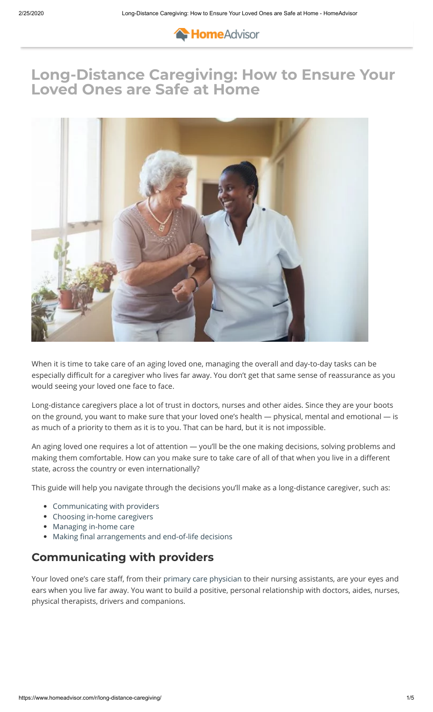

# **[Long-Dis](https://www.homeadvisor.com/profinder)[ta](https://www.homeadvisor.com/r/)[nce Car](https://www.homeadvisor.com/r/c/projects/)[egiving: How t](https://www.homeadvisor.com/r/c/expert-info-advice/)[o Ensure You](https://www.homeadvisor.com/r/c/tools-tutorials/)r [Loved On](https://www.homeadvisor.com/c.html)[es are](https://www.homeadvisor.com/spa/zip) Safe at Home**



When it is time to take care of an aging loved one, managing the overall and day-to-day tasks can be especially difficult for a caregiver who lives far away. You don't get that same sense of reassurance as you would seeing your loved one face to face.

Long-distance caregivers place a lot of trust in doctors, nurses and other aides. Since they are your boots on the ground, you want to make sure that your loved one's health — physical, mental and emotional — is as much of a priority to them as it is to you. That can be hard, but it is not impossible.

An aging loved one requires a lot of attention — you'll be the one making decisions, solving problems and making them comfortable. How can you make sure to take care of all of that when you live in a different state, across the country or even internationally?

This guide will help you navigate through the decisions you'll make as a long-distance caregiver, such as:

- [Communicating with providers](#page-0-0)
- [Choosing in-home caregivers](#page-1-0)
- [Managing in-home care](#page-1-1)
- Making final arrangements and end-of-life decisions

### **Communicating with providers**

<span id="page-0-0"></span>Your loved one's care staff, from their [primary care physician](https://www.aplaceformom.com/blog/12-28-15-how-to-talk-to-your-parents-doctor/) to their nursing assistants, are your eyes and ears when you live far away. You want to build a positive, personal relationship with doctors, aides, nurses, physical therapists, drivers and companions.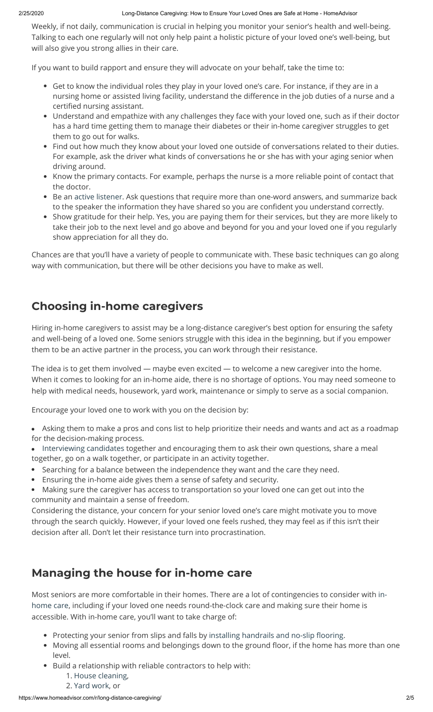### 2/25/2020 Long-Distance Caregiving: How to Ensure Your Loved Ones are Safe at Home - HomeAdvisor

Weekly, if not daily, communication is crucial in helping you monitor your senior's health and well-being. Talking to each one regularly will not only help paint a holistic picture of your loved one's well-being, but will also give you strong allies in their care.

If you want to build rapport and ensure they will advocate on your behalf, take the time to:

- Get to know the individual roles they play in your loved one's care. For instance, if they are in a nursing home or assisted living facility, understand the difference in the job duties of a nurse and a certified nursing assistant.
- Understand and empathize with any challenges they face with your loved one, such as if their doctor has a hard time getting them to manage their diabetes or their in-home caregiver struggles to get them to go out for walks.
- Find out how much they know about your loved one outside of conversations related to their duties. For example, ask the driver what kinds of conversations he or she has with your aging senior when driving around.
- Know the primary contacts. For example, perhaps the nurse is a more reliable point of contact that the doctor.
- Be an [active listener.](https://psychcentral.com/lib/become-a-better-listener-active-listening/) Ask questions that require more than one-word answers, and summarize back to the speaker the information they have shared so you are confident you understand correctly.
- Show gratitude for their help. Yes, you are paying them for their services, but they are more likely to take their job to the next level and go above and beyond for you and your loved one if you regularly show appreciation for all they do.

Chances are that you'll have a variety of people to communicate with. These basic techniques can go along way with communication, but there will be other decisions you have to make as well.

## <span id="page-1-0"></span>**Choosing in-home caregivers**

Hiring in-home caregivers to assist may be a long-distance caregiver's best option for ensuring the safety and well-being of a loved one. Some seniors struggle with this idea in the beginning, but if you empower them to be an active partner in the process, you can work through their resistance.

The idea is to get them involved — maybe even excited — to welcome a new caregiver into the home. When it comes to looking for an in-home aide, there is no shortage of options. You may need someone to help with medical needs, housework, yard work, maintenance or simply to serve as a social companion.

Encourage your loved one to work with you on the decision by:

- Asking them to make a pros and cons list to help prioritize their needs and wants and act as a roadmap for the decision-making process.
- [Interviewing candidates](https://www.elderlawanswers.com/12-interview-questions-to-ask-an-in-home-aide-9730) together and encouraging them to ask their own questions, share a meal together, go on a walk together, or participate in an activity together.
- Searching for a balance between the independence they want and the care they need.
- Ensuring the in-home aide gives them a sense of safety and security.
- Making sure the caregiver has access to transportation so your loved one can get out into the  $\bullet$ community and maintain a sense of freedom.

Considering the distance, your concern for your senior loved one's care might motivate you to move through the search quickly. However, if your loved one feels rushed, they may feel as if this isn't their decision after all. Don't let their resistance turn into procrastination.

# <span id="page-1-1"></span>**Managing the house for in-home care**

[Most seniors are more comfortable in their homes. There are a lot of contingencies to consider with in](https://www.homeadvisor.com/r/options-for-alzheimers-therapy/)home care, including if your loved one needs round-the-clock care and making sure their home is accessible. With in-home care, you'll want to take charge of:

- Protecting your senior from slips and falls by installing handrails and no-slip flooring.
- Moving all essential rooms and belongings down to the ground floor, if the home has more than one level.
- Build a relationship with reliable contractors to help with:
	- 1. [House cleaning,](https://www.homeadvisor.com/near-me/house-cleaning-services/)
	- 2. [Yard work](https://www.homeadvisor.com/near-me/landscapers/), or